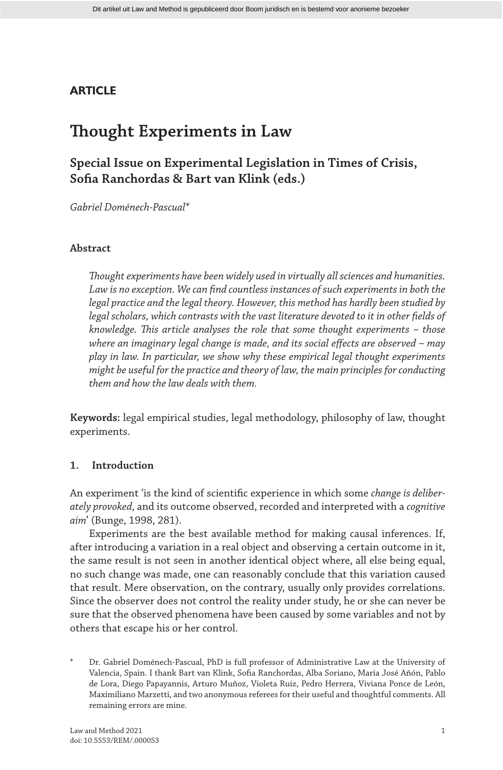# **ARTICLE**

# **Thought Experiments in Law**

# **Special Issue on Experimental Legislation in Times of Crisis, Sofia Ranchordas & Bart van Klink (eds.)**

*Gabriel Doménech-Pascual\**

# **Abstract**

*Thought experiments have been widely used in virtually all sciences and humanities. Law is no exception. We can find countless instances of such experiments in both the legal practice and the legal theory. However, this method has hardly been studied by legal scholars, which contrasts with the vast literature devoted to it in other fields of knowledge. This article analyses the role that some thought experiments – those where an imaginary legal change is made, and its social effects are observed – may play in law. In particular, we show why these empirical legal thought experiments might be useful for the practice and theory of law, the main principles for conducting them and how the law deals with them.*

**Keywords:** legal empirical studies, legal methodology, philosophy of law, thought experiments.

# **1. Introduction**

An experiment 'is the kind of scientific experience in which some *change is deliberately provoked*, and its outcome observed, recorded and interpreted with a *cognitive aim*' (Bunge, 1998, 281).

Experiments are the best available method for making causal inferences. If, after introducing a variation in a real object and observing a certain outcome in it, the same result is not seen in another identical object where, all else being equal, no such change was made, one can reasonably conclude that this variation caused that result. Mere observation, on the contrary, usually only provides correlations. Since the observer does not control the reality under study, he or she can never be sure that the observed phenomena have been caused by some variables and not by others that escape his or her control.

Dr. Gabriel Doménech-Pascual, PhD is full professor of Administrative Law at the University of Valencia, Spain. I thank Bart van Klink, Sofia Ranchordas, Alba Soriano, María José Añón, Pablo de Lora, Diego Papayannis, Arturo Muñoz, Violeta Ruiz, Pedro Herrera, Viviana Ponce de León, Maximiliano Marzetti, and two anonymous referees for their useful and thoughtful comments. All remaining errors are mine.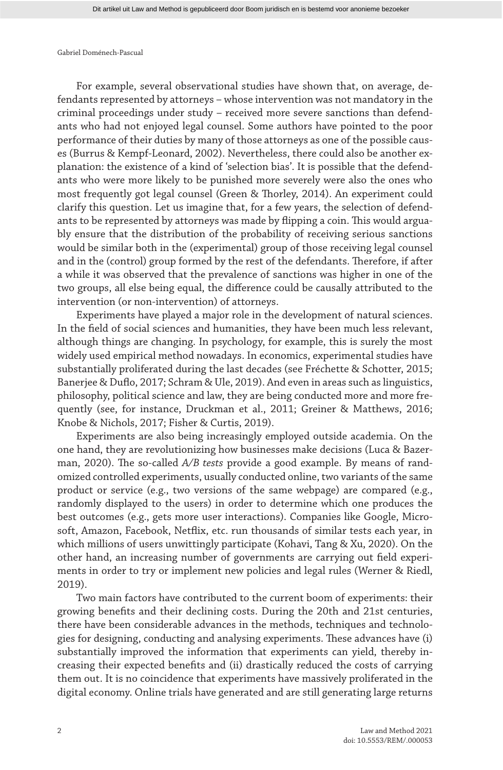For example, several observational studies have shown that, on average, defendants represented by attorneys – whose intervention was not mandatory in the criminal proceedings under study – received more severe sanctions than defendants who had not enjoyed legal counsel. Some authors have pointed to the poor performance of their duties by many of those attorneys as one of the possible causes (Burrus & Kempf-Leonard, 2002). Nevertheless, there could also be another explanation: the existence of a kind of 'selection bias'. It is possible that the defendants who were more likely to be punished more severely were also the ones who most frequently got legal counsel (Green & Thorley, 2014). An experiment could clarify this question. Let us imagine that, for a few years, the selection of defendants to be represented by attorneys was made by flipping a coin. This would arguably ensure that the distribution of the probability of receiving serious sanctions would be similar both in the (experimental) group of those receiving legal counsel and in the (control) group formed by the rest of the defendants. Therefore, if after a while it was observed that the prevalence of sanctions was higher in one of the two groups, all else being equal, the difference could be causally attributed to the intervention (or non-intervention) of attorneys.

Experiments have played a major role in the development of natural sciences. In the field of social sciences and humanities, they have been much less relevant, although things are changing. In psychology, for example, this is surely the most widely used empirical method nowadays. In economics, experimental studies have substantially proliferated during the last decades (see Fréchette & Schotter, 2015; Banerjee & Duflo, 2017; Schram & Ule, 2019). And even in areas such as linguistics, philosophy, political science and law, they are being conducted more and more frequently (see, for instance, Druckman et al., 2011; Greiner & Matthews, 2016; Knobe & Nichols, 2017; Fisher & Curtis, 2019).

Experiments are also being increasingly employed outside academia. On the one hand, they are revolutionizing how businesses make decisions (Luca & Bazerman, 2020). The so-called *A/B tests* provide a good example. By means of randomized controlled experiments, usually conducted online, two variants of the same product or service (e.g., two versions of the same webpage) are compared (e.g., randomly displayed to the users) in order to determine which one produces the best outcomes (e.g., gets more user interactions). Companies like Google, Microsoft, Amazon, Facebook, Netflix, etc. run thousands of similar tests each year, in which millions of users unwittingly participate (Kohavi, Tang & Xu, 2020). On the other hand, an increasing number of governments are carrying out field experiments in order to try or implement new policies and legal rules (Werner & Riedl, 2019).

Two main factors have contributed to the current boom of experiments: their growing benefits and their declining costs. During the 20th and 21st centuries, there have been considerable advances in the methods, techniques and technologies for designing, conducting and analysing experiments. These advances have (i) substantially improved the information that experiments can yield, thereby increasing their expected benefits and (ii) drastically reduced the costs of carrying them out. It is no coincidence that experiments have massively proliferated in the digital economy. Online trials have generated and are still generating large returns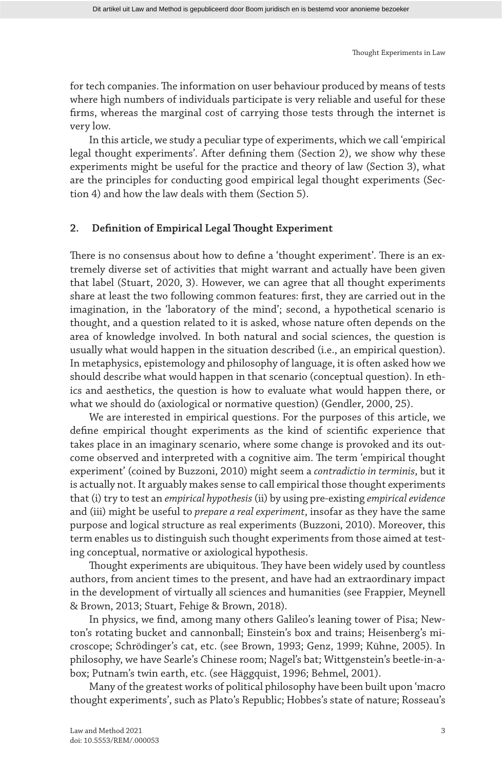for tech companies. The information on user behaviour produced by means of tests where high numbers of individuals participate is very reliable and useful for these firms, whereas the marginal cost of carrying those tests through the internet is very low.

In this article, we study a peculiar type of experiments, which we call 'empirical legal thought experiments'. After defining them (Section 2), we show why these experiments might be useful for the practice and theory of law (Section 3), what are the principles for conducting good empirical legal thought experiments (Section 4) and how the law deals with them (Section 5).

#### **2. Definition of Empirical Legal Thought Experiment**

There is no consensus about how to define a 'thought experiment'. There is an extremely diverse set of activities that might warrant and actually have been given that label (Stuart, 2020, 3). However, we can agree that all thought experiments share at least the two following common features: first, they are carried out in the imagination, in the 'laboratory of the mind'; second, a hypothetical scenario is thought, and a question related to it is asked, whose nature often depends on the area of knowledge involved. In both natural and social sciences, the question is usually what would happen in the situation described (i.e., an empirical question). In metaphysics, epistemology and philosophy of language, it is often asked how we should describe what would happen in that scenario (conceptual question). In ethics and aesthetics, the question is how to evaluate what would happen there, or what we should do (axiological or normative question) (Gendler, 2000, 25).

We are interested in empirical questions. For the purposes of this article, we define empirical thought experiments as the kind of scientific experience that takes place in an imaginary scenario, where some change is provoked and its outcome observed and interpreted with a cognitive aim. The term 'empirical thought experiment' (coined by Buzzoni, 2010) might seem a *contradictio in terminis*, but it is actually not. It arguably makes sense to call empirical those thought experiments that (i) try to test an *empirical hypothesis* (ii) by using pre-existing *empirical evidence* and (iii) might be useful to *prepare a real experiment*, insofar as they have the same purpose and logical structure as real experiments (Buzzoni, 2010). Moreover, this term enables us to distinguish such thought experiments from those aimed at testing conceptual, normative or axiological hypothesis.

Thought experiments are ubiquitous. They have been widely used by countless authors, from ancient times to the present, and have had an extraordinary impact in the development of virtually all sciences and humanities (see Frappier, Meynell & Brown, 2013; Stuart, Fehige & Brown, 2018).

In physics, we find, among many others Galileo's leaning tower of Pisa; Newton's rotating bucket and cannonball; Einstein's box and trains; Heisenberg's microscope; Schrödinger's cat, etc. (see Brown, 1993; Genz, 1999; Kühne, 2005). In philosophy, we have Searle's Chinese room; Nagel's bat; Wittgenstein's beetle-in-abox; Putnam's twin earth, etc. (see Häggquist, 1996; Behmel, 2001).

Many of the greatest works of political philosophy have been built upon 'macro thought experiments', such as Plato's Republic; Hobbes's state of nature; Rosseau's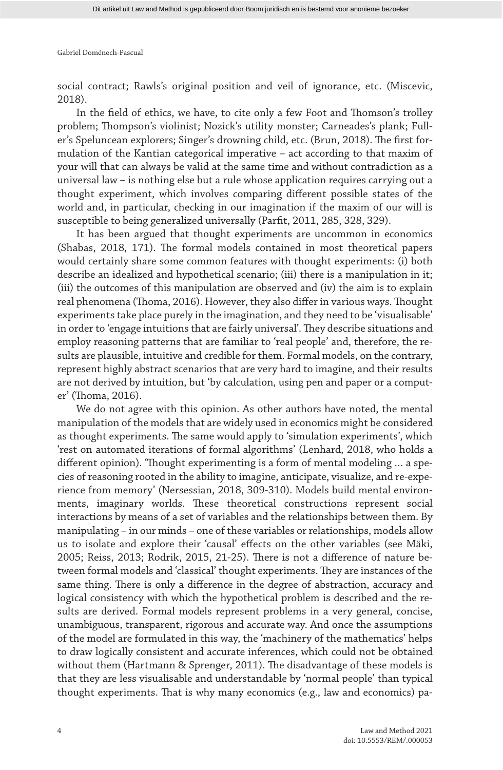social contract; Rawls's original position and veil of ignorance, etc. (Miscevic, 2018).

In the field of ethics, we have, to cite only a few Foot and Thomson's trolley problem; Thompson's violinist; Nozick's utility monster; Carneades's plank; Fuller's Speluncean explorers; Singer's drowning child, etc. (Brun, 2018). The first formulation of the Kantian categorical imperative – act according to that maxim of your will that can always be valid at the same time and without contradiction as a universal law – is nothing else but a rule whose application requires carrying out a thought experiment, which involves comparing different possible states of the world and, in particular, checking in our imagination if the maxim of our will is susceptible to being generalized universally (Parfit, 2011, 285, 328, 329).

It has been argued that thought experiments are uncommon in economics (Shabas, 2018, 171). The formal models contained in most theoretical papers would certainly share some common features with thought experiments: (i) both describe an idealized and hypothetical scenario; (iii) there is a manipulation in it; (iii) the outcomes of this manipulation are observed and (iv) the aim is to explain real phenomena (Thoma, 2016). However, they also differ in various ways. Thought experiments take place purely in the imagination, and they need to be 'visualisable' in order to 'engage intuitions that are fairly universal'. They describe situations and employ reasoning patterns that are familiar to 'real people' and, therefore, the results are plausible, intuitive and credible for them. Formal models, on the contrary, represent highly abstract scenarios that are very hard to imagine, and their results are not derived by intuition, but 'by calculation, using pen and paper or a computer' (Thoma, 2016).

We do not agree with this opinion. As other authors have noted, the mental manipulation of the models that are widely used in economics might be considered as thought experiments. The same would apply to 'simulation experiments', which 'rest on automated iterations of formal algorithms' (Lenhard, 2018, who holds a different opinion). 'Thought experimenting is a form of mental modeling … a species of reasoning rooted in the ability to imagine, anticipate, visualize, and re-experience from memory' (Nersessian, 2018, 309-310). Models build mental environments, imaginary worlds. These theoretical constructions represent social interactions by means of a set of variables and the relationships between them. By manipulating – in our minds – one of these variables or relationships, models allow us to isolate and explore their 'causal' effects on the other variables (see Mäki, 2005; Reiss, 2013; Rodrik, 2015, 21-25). There is not a difference of nature between formal models and 'classical' thought experiments. They are instances of the same thing. There is only a difference in the degree of abstraction, accuracy and logical consistency with which the hypothetical problem is described and the results are derived. Formal models represent problems in a very general, concise, unambiguous, transparent, rigorous and accurate way. And once the assumptions of the model are formulated in this way, the 'machinery of the mathematics' helps to draw logically consistent and accurate inferences, which could not be obtained without them (Hartmann & Sprenger, 2011). The disadvantage of these models is that they are less visualisable and understandable by 'normal people' than typical thought experiments. That is why many economics (e.g., law and economics) pa-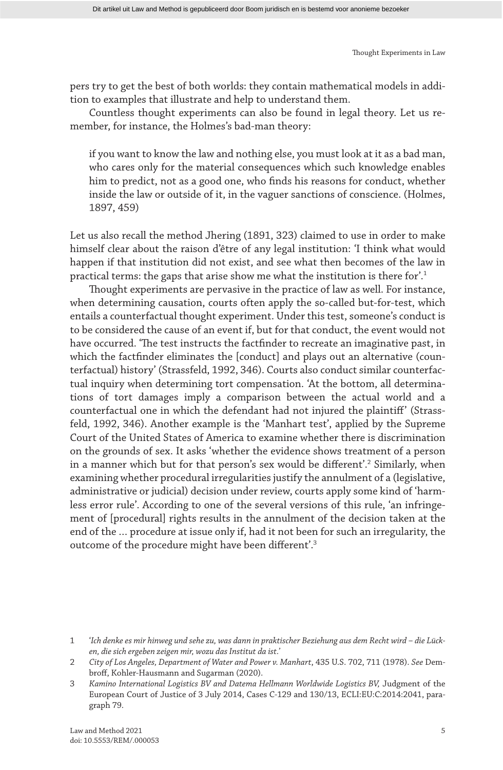pers try to get the best of both worlds: they contain mathematical models in addition to examples that illustrate and help to understand them.

Countless thought experiments can also be found in legal theory. Let us remember, for instance, the Holmes's bad-man theory:

if you want to know the law and nothing else, you must look at it as a bad man, who cares only for the material consequences which such knowledge enables him to predict, not as a good one, who finds his reasons for conduct, whether inside the law or outside of it, in the vaguer sanctions of conscience. (Holmes, 1897, 459)

Let us also recall the method Jhering (1891, 323) claimed to use in order to make himself clear about the raison d'être of any legal institution: 'I think what would happen if that institution did not exist, and see what then becomes of the law in practical terms: the gaps that arise show me what the institution is there for'.1

Thought experiments are pervasive in the practice of law as well. For instance, when determining causation, courts often apply the so-called but-for-test, which entails a counterfactual thought experiment. Under this test, someone's conduct is to be considered the cause of an event if, but for that conduct, the event would not have occurred. 'The test instructs the factfinder to recreate an imaginative past, in which the factfinder eliminates the [conduct] and plays out an alternative (counterfactual) history' (Strassfeld, 1992, 346). Courts also conduct similar counterfactual inquiry when determining tort compensation. 'At the bottom, all determinations of tort damages imply a comparison between the actual world and a counterfactual one in which the defendant had not injured the plaintiff' (Strassfeld, 1992, 346). Another example is the 'Manhart test', applied by the Supreme Court of the United States of America to examine whether there is discrimination on the grounds of sex. It asks 'whether the evidence shows treatment of a person in a manner which but for that person's sex would be different'.2 Similarly, when examining whether procedural irregularities justify the annulment of a (legislative, administrative or judicial) decision under review, courts apply some kind of 'harmless error rule'. According to one of the several versions of this rule, 'an infringement of [procedural] rights results in the annulment of the decision taken at the end of the … procedure at issue only if, had it not been for such an irregularity, the outcome of the procedure might have been different'.3

<sup>1</sup> '*Ich denke es mir hinweg und sehe zu, was dann in praktischer Beziehung aus dem Recht wird – die Lücken, die sich ergeben zeigen mir, wozu das Institut da ist.'*

<sup>2</sup> *City of Los Angeles, Department of Water and Power v. Manhart*, 435 U.S. 702, 711 (1978). *See* Dembroff, Kohler-Hausmann and Sugarman (2020).

<sup>3</sup> *Kamino International Logistics BV and Datema Hellmann Worldwide Logistics BV,* Judgment of the European Court of Justice of 3 July 2014, Cases C-129 and 130/13, ECLI:EU:C:2014:2041, paragraph 79.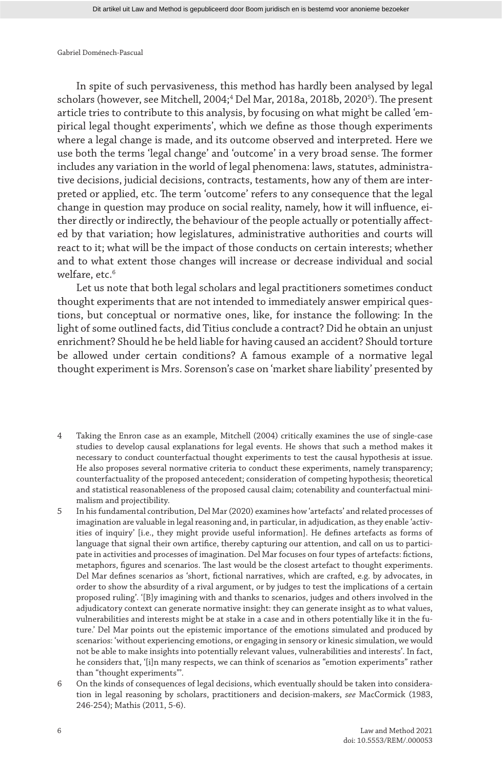In spite of such pervasiveness, this method has hardly been analysed by legal scholars (however, see Mitchell, 2004;<sup>4</sup> Del Mar, 2018a, 2018b, 2020<sup>5</sup>). The present article tries to contribute to this analysis, by focusing on what might be called 'empirical legal thought experiments', which we define as those though experiments where a legal change is made, and its outcome observed and interpreted. Here we use both the terms 'legal change' and 'outcome' in a very broad sense. The former includes any variation in the world of legal phenomena: laws, statutes, administrative decisions, judicial decisions, contracts, testaments, how any of them are interpreted or applied, etc. The term 'outcome' refers to any consequence that the legal change in question may produce on social reality, namely, how it will influence, either directly or indirectly, the behaviour of the people actually or potentially affected by that variation; how legislatures, administrative authorities and courts will react to it; what will be the impact of those conducts on certain interests; whether and to what extent those changes will increase or decrease individual and social welfare, etc.<sup>6</sup>

Let us note that both legal scholars and legal practitioners sometimes conduct thought experiments that are not intended to immediately answer empirical questions, but conceptual or normative ones, like, for instance the following: In the light of some outlined facts, did Titius conclude a contract? Did he obtain an unjust enrichment? Should he be held liable for having caused an accident? Should torture be allowed under certain conditions? A famous example of a normative legal thought experiment is Mrs. Sorenson's case on 'market share liability' presented by

- 4 Taking the Enron case as an example, Mitchell (2004) critically examines the use of single-case studies to develop causal explanations for legal events. He shows that such a method makes it necessary to conduct counterfactual thought experiments to test the causal hypothesis at issue. He also proposes several normative criteria to conduct these experiments, namely transparency; counterfactuality of the proposed antecedent; consideration of competing hypothesis; theoretical and statistical reasonableness of the proposed causal claim; cotenability and counterfactual minimalism and projectibility.
- 5 In his fundamental contribution, Del Mar (2020) examines how 'artefacts' and related processes of imagination are valuable in legal reasoning and, in particular, in adjudication, as they enable 'activities of inquiry' [i.e., they might provide useful information]. He defines artefacts as forms of language that signal their own artifice, thereby capturing our attention, and call on us to participate in activities and processes of imagination. Del Mar focuses on four types of artefacts: fictions, metaphors, figures and scenarios. The last would be the closest artefact to thought experiments. Del Mar defines scenarios as 'short, fictional narratives, which are crafted, e.g. by advocates, in order to show the absurdity of a rival argument, or by judges to test the implications of a certain proposed ruling'. '[B]y imagining with and thanks to scenarios, judges and others involved in the adjudicatory context can generate normative insight: they can generate insight as to what values, vulnerabilities and interests might be at stake in a case and in others potentially like it in the future.' Del Mar points out the epistemic importance of the emotions simulated and produced by scenarios: 'without experiencing emotions, or engaging in sensory or kinesic simulation, we would not be able to make insights into potentially relevant values, vulnerabilities and interests'. In fact, he considers that, '[i]n many respects, we can think of scenarios as "emotion experiments" rather than "thought experiments"'.
- 6 On the kinds of consequences of legal decisions, which eventually should be taken into consideration in legal reasoning by scholars, practitioners and decision-makers, *see* MacCormick (1983, 246-254); Mathis (2011, 5-6).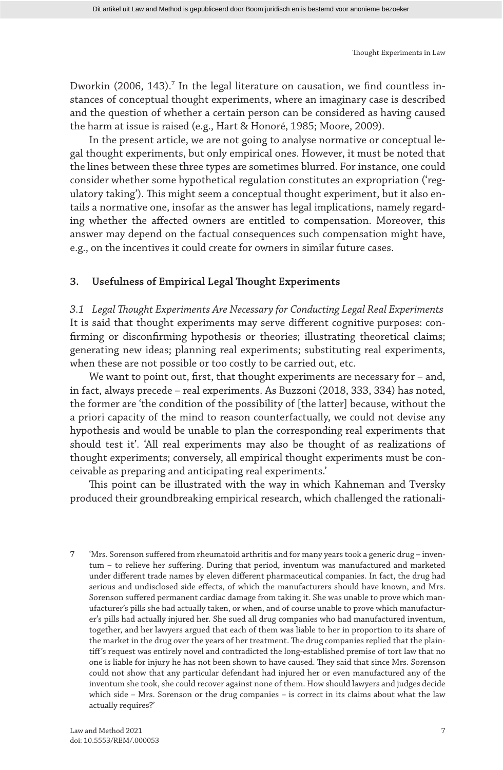Dworkin (2006, 143).<sup>7</sup> In the legal literature on causation, we find countless instances of conceptual thought experiments, where an imaginary case is described and the question of whether a certain person can be considered as having caused the harm at issue is raised (e.g., Hart & Honoré, 1985; Moore, 2009).

In the present article, we are not going to analyse normative or conceptual legal thought experiments, but only empirical ones. However, it must be noted that the lines between these three types are sometimes blurred. For instance, one could consider whether some hypothetical regulation constitutes an expropriation ('regulatory taking'). This might seem a conceptual thought experiment, but it also entails a normative one, insofar as the answer has legal implications, namely regarding whether the affected owners are entitled to compensation. Moreover, this answer may depend on the factual consequences such compensation might have, e.g., on the incentives it could create for owners in similar future cases.

# **3. Usefulness of Empirical Legal Thought Experiments**

*3.1 Legal Thought Experiments Are Necessary for Conducting Legal Real Experiments* It is said that thought experiments may serve different cognitive purposes: confirming or disconfirming hypothesis or theories; illustrating theoretical claims; generating new ideas; planning real experiments; substituting real experiments, when these are not possible or too costly to be carried out, etc.

We want to point out, first, that thought experiments are necessary for – and, in fact, always precede – real experiments. As Buzzoni (2018, 333, 334) has noted, the former are 'the condition of the possibility of [the latter] because, without the a priori capacity of the mind to reason counterfactually, we could not devise any hypothesis and would be unable to plan the corresponding real experiments that should test it'. 'All real experiments may also be thought of as realizations of thought experiments; conversely, all empirical thought experiments must be conceivable as preparing and anticipating real experiments.'

This point can be illustrated with the way in which Kahneman and Tversky produced their groundbreaking empirical research, which challenged the rationali-

7 'Mrs. Sorenson suffered from rheumatoid arthritis and for many years took a generic drug – inventum – to relieve her suffering. During that period, inventum was manufactured and marketed under different trade names by eleven different pharmaceutical companies. In fact, the drug had serious and undisclosed side effects, of which the manufacturers should have known, and Mrs. Sorenson suffered permanent cardiac damage from taking it. She was unable to prove which manufacturer's pills she had actually taken, or when, and of course unable to prove which manufacturer's pills had actually injured her. She sued all drug companies who had manufactured inventum, together, and her lawyers argued that each of them was liable to her in proportion to its share of the market in the drug over the years of her treatment. The drug companies replied that the plaintiff's request was entirely novel and contradicted the long-established premise of tort law that no one is liable for injury he has not been shown to have caused. They said that since Mrs. Sorenson could not show that any particular defendant had injured her or even manufactured any of the inventum she took, she could recover against none of them. How should lawyers and judges decide which side – Mrs. Sorenson or the drug companies – is correct in its claims about what the law actually requires?'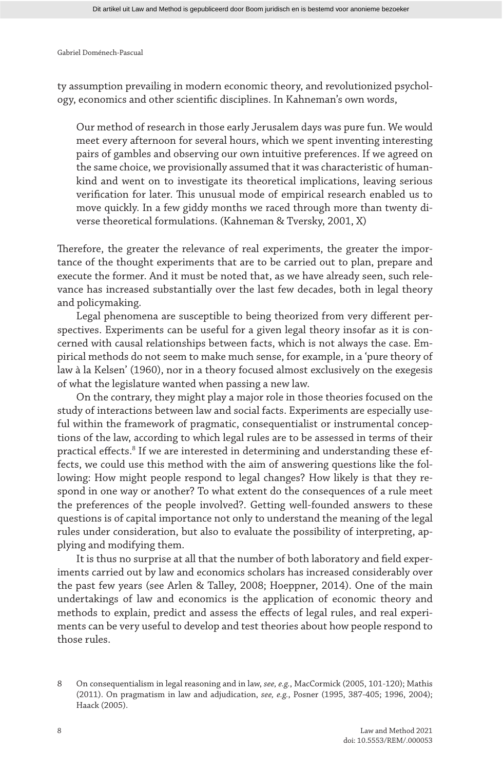ty assumption prevailing in modern economic theory, and revolutionized psychology, economics and other scientific disciplines. In Kahneman's own words,

Our method of research in those early Jerusalem days was pure fun. We would meet every afternoon for several hours, which we spent inventing interesting pairs of gambles and observing our own intuitive preferences. If we agreed on the same choice, we provisionally assumed that it was characteristic of humankind and went on to investigate its theoretical implications, leaving serious verification for later. This unusual mode of empirical research enabled us to move quickly. In a few giddy months we raced through more than twenty diverse theoretical formulations. (Kahneman & Tversky, 2001, X)

Therefore, the greater the relevance of real experiments, the greater the importance of the thought experiments that are to be carried out to plan, prepare and execute the former. And it must be noted that, as we have already seen, such relevance has increased substantially over the last few decades, both in legal theory and policymaking.

Legal phenomena are susceptible to being theorized from very different perspectives. Experiments can be useful for a given legal theory insofar as it is concerned with causal relationships between facts, which is not always the case. Empirical methods do not seem to make much sense, for example, in a 'pure theory of law à la Kelsen' (1960), nor in a theory focused almost exclusively on the exegesis of what the legislature wanted when passing a new law.

On the contrary, they might play a major role in those theories focused on the study of interactions between law and social facts. Experiments are especially useful within the framework of pragmatic, consequentialist or instrumental conceptions of the law, according to which legal rules are to be assessed in terms of their practical effects.<sup>8</sup> If we are interested in determining and understanding these effects, we could use this method with the aim of answering questions like the following: How might people respond to legal changes? How likely is that they respond in one way or another? To what extent do the consequences of a rule meet the preferences of the people involved?. Getting well-founded answers to these questions is of capital importance not only to understand the meaning of the legal rules under consideration, but also to evaluate the possibility of interpreting, applying and modifying them.

It is thus no surprise at all that the number of both laboratory and field experiments carried out by law and economics scholars has increased considerably over the past few years (see Arlen & Talley, 2008; Hoeppner, 2014). One of the main undertakings of law and economics is the application of economic theory and methods to explain, predict and assess the effects of legal rules, and real experiments can be very useful to develop and test theories about how people respond to those rules.

<sup>8</sup> On consequentialism in legal reasoning and in law, *see, e.g.*, MacCormick (2005, 101-120); Mathis (2011). On pragmatism in law and adjudication, *see, e.g.*, Posner (1995, 387-405; 1996, 2004); Haack (2005).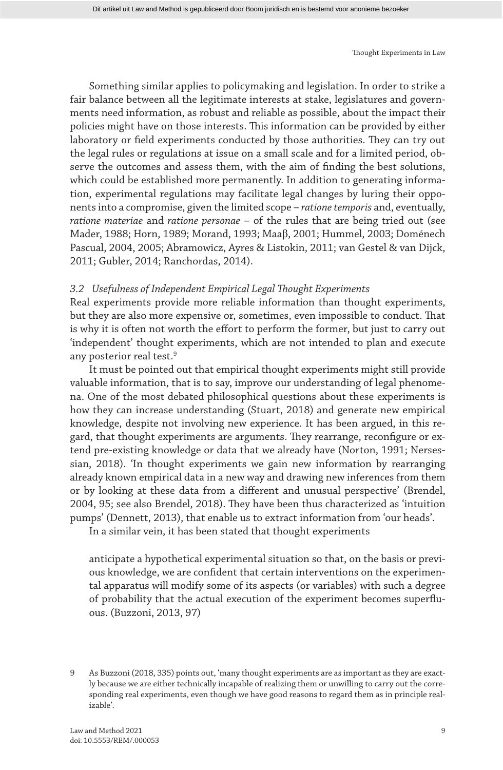Something similar applies to policymaking and legislation. In order to strike a fair balance between all the legitimate interests at stake, legislatures and governments need information, as robust and reliable as possible, about the impact their policies might have on those interests. This information can be provided by either laboratory or field experiments conducted by those authorities. They can try out the legal rules or regulations at issue on a small scale and for a limited period, observe the outcomes and assess them, with the aim of finding the best solutions, which could be established more permanently. In addition to generating information, experimental regulations may facilitate legal changes by luring their opponents into a compromise, given the limited scope – *ratione temporis* and, eventually, *ratione materiae* and *ratione personae* – of the rules that are being tried out (see Mader, 1988; Horn, 1989; Morand, 1993; Maaβ, 2001; Hummel, 2003; Doménech Pascual, 2004, 2005; Abramowicz, Ayres & Listokin, 2011; van Gestel & van Dijck, 2011; Gubler, 2014; Ranchordas, 2014).

# *3.2 Usefulness of Independent Empirical Legal Thought Experiments*

Real experiments provide more reliable information than thought experiments, but they are also more expensive or, sometimes, even impossible to conduct. That is why it is often not worth the effort to perform the former, but just to carry out 'independent' thought experiments, which are not intended to plan and execute any posterior real test.<sup>9</sup>

It must be pointed out that empirical thought experiments might still provide valuable information, that is to say, improve our understanding of legal phenomena. One of the most debated philosophical questions about these experiments is how they can increase understanding (Stuart, 2018) and generate new empirical knowledge, despite not involving new experience. It has been argued, in this regard, that thought experiments are arguments. They rearrange, reconfigure or extend pre-existing knowledge or data that we already have (Norton, 1991; Nersessian, 2018). 'In thought experiments we gain new information by rearranging already known empirical data in a new way and drawing new inferences from them or by looking at these data from a different and unusual perspective' (Brendel, 2004, 95; see also Brendel, 2018). They have been thus characterized as 'intuition pumps' (Dennett, 2013), that enable us to extract information from 'our heads'.

In a similar vein, it has been stated that thought experiments

anticipate a hypothetical experimental situation so that, on the basis or previous knowledge, we are confident that certain interventions on the experimental apparatus will modify some of its aspects (or variables) with such a degree of probability that the actual execution of the experiment becomes superfluous. (Buzzoni, 2013, 97)

9 As Buzzoni (2018, 335) points out, 'many thought experiments are as important as they are exactly because we are either technically incapable of realizing them or unwilling to carry out the corresponding real experiments, even though we have good reasons to regard them as in principle realizable'.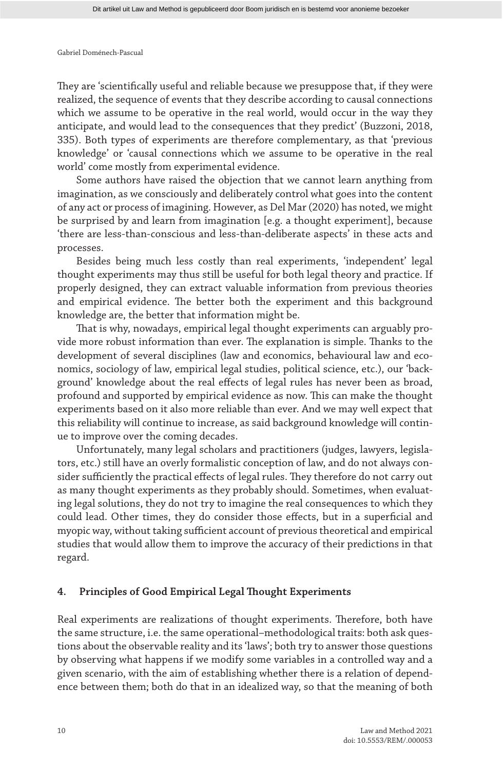They are 'scientifically useful and reliable because we presuppose that, if they were realized, the sequence of events that they describe according to causal connections which we assume to be operative in the real world, would occur in the way they anticipate, and would lead to the consequences that they predict' (Buzzoni, 2018, 335). Both types of experiments are therefore complementary, as that 'previous knowledge' or 'causal connections which we assume to be operative in the real world' come mostly from experimental evidence.

Some authors have raised the objection that we cannot learn anything from imagination, as we consciously and deliberately control what goes into the content of any act or process of imagining. However, as Del Mar (2020) has noted, we might be surprised by and learn from imagination [e.g. a thought experiment], because 'there are less-than-conscious and less-than-deliberate aspects' in these acts and processes.

Besides being much less costly than real experiments, 'independent' legal thought experiments may thus still be useful for both legal theory and practice. If properly designed, they can extract valuable information from previous theories and empirical evidence. The better both the experiment and this background knowledge are, the better that information might be.

That is why, nowadays, empirical legal thought experiments can arguably provide more robust information than ever. The explanation is simple. Thanks to the development of several disciplines (law and economics, behavioural law and economics, sociology of law, empirical legal studies, political science, etc.), our 'background' knowledge about the real effects of legal rules has never been as broad, profound and supported by empirical evidence as now. This can make the thought experiments based on it also more reliable than ever. And we may well expect that this reliability will continue to increase, as said background knowledge will continue to improve over the coming decades.

Unfortunately, many legal scholars and practitioners (judges, lawyers, legislators, etc.) still have an overly formalistic conception of law, and do not always consider sufficiently the practical effects of legal rules. They therefore do not carry out as many thought experiments as they probably should. Sometimes, when evaluating legal solutions, they do not try to imagine the real consequences to which they could lead. Other times, they do consider those effects, but in a superficial and myopic way, without taking sufficient account of previous theoretical and empirical studies that would allow them to improve the accuracy of their predictions in that regard.

# **4. Principles of Good Empirical Legal Thought Experiments**

Real experiments are realizations of thought experiments. Therefore, both have the same structure, i.e. the same operational–methodological traits: both ask questions about the observable reality and its 'laws'; both try to answer those questions by observing what happens if we modify some variables in a controlled way and a given scenario, with the aim of establishing whether there is a relation of dependence between them; both do that in an idealized way, so that the meaning of both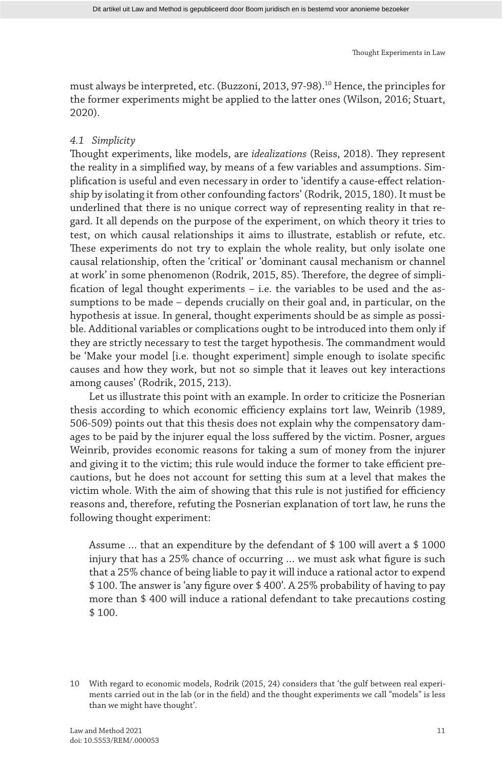must always be interpreted, etc. (Buzzoni, 2013, 97-98).10 Hence, the principles for the former experiments might be applied to the latter ones (Wilson, 2016; Stuart, 2020).

# *4.1 Simplicity*

Thought experiments, like models, are *idealizations* (Reiss, 2018). They represent the reality in a simplified way, by means of a few variables and assumptions. Simplification is useful and even necessary in order to 'identify a cause-effect relationship by isolating it from other confounding factors' (Rodrik, 2015, 180). It must be underlined that there is no unique correct way of representing reality in that regard. It all depends on the purpose of the experiment, on which theory it tries to test, on which causal relationships it aims to illustrate, establish or refute, etc. These experiments do not try to explain the whole reality, but only isolate one causal relationship, often the 'critical' or 'dominant causal mechanism or channel at work' in some phenomenon (Rodrik, 2015, 85). Therefore, the degree of simplification of legal thought experiments – i.e. the variables to be used and the assumptions to be made – depends crucially on their goal and, in particular, on the hypothesis at issue. In general, thought experiments should be as simple as possible. Additional variables or complications ought to be introduced into them only if they are strictly necessary to test the target hypothesis. The commandment would be 'Make your model [i.e. thought experiment] simple enough to isolate specific causes and how they work, but not so simple that it leaves out key interactions among causes' (Rodrik, 2015, 213).

Let us illustrate this point with an example. In order to criticize the Posnerian thesis according to which economic efficiency explains tort law, Weinrib (1989, 506-509) points out that this thesis does not explain why the compensatory damages to be paid by the injurer equal the loss suffered by the victim. Posner, argues Weinrib, provides economic reasons for taking a sum of money from the injurer and giving it to the victim; this rule would induce the former to take efficient precautions, but he does not account for setting this sum at a level that makes the victim whole. With the aim of showing that this rule is not justified for efficiency reasons and, therefore, refuting the Posnerian explanation of tort law, he runs the following thought experiment:

Assume … that an expenditure by the defendant of \$ 100 will avert a \$ 1000 injury that has a 25% chance of occurring … we must ask what figure is such that a 25% chance of being liable to pay it will induce a rational actor to expend \$ 100. The answer is 'any figure over \$ 400'. A 25% probability of having to pay more than \$ 400 will induce a rational defendant to take precautions costing \$ 100.

<sup>10</sup> With regard to economic models, Rodrik (2015, 24) considers that 'the gulf between real experiments carried out in the lab (or in the field) and the thought experiments we call "models" is less than we might have thought'.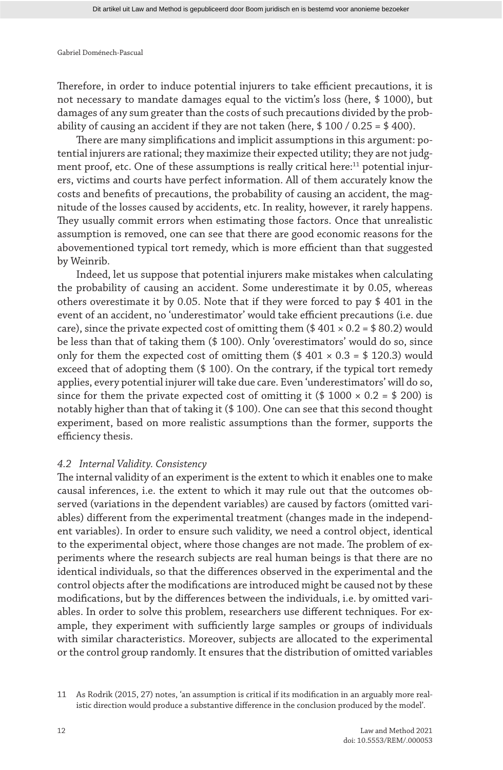Therefore, in order to induce potential injurers to take efficient precautions, it is not necessary to mandate damages equal to the victim's loss (here, \$ 1000), but damages of any sum greater than the costs of such precautions divided by the probability of causing an accident if they are not taken (here,  $$100 / 0.25 = $400$ ).

There are many simplifications and implicit assumptions in this argument: potential injurers are rational; they maximize their expected utility; they are not judgment proof, etc. One of these assumptions is really critical here:<sup>11</sup> potential injurers, victims and courts have perfect information. All of them accurately know the costs and benefits of precautions, the probability of causing an accident, the magnitude of the losses caused by accidents, etc. In reality, however, it rarely happens. They usually commit errors when estimating those factors. Once that unrealistic assumption is removed, one can see that there are good economic reasons for the abovementioned typical tort remedy, which is more efficient than that suggested by Weinrib.

Indeed, let us suppose that potential injurers make mistakes when calculating the probability of causing an accident. Some underestimate it by 0.05, whereas others overestimate it by 0.05. Note that if they were forced to pay \$ 401 in the event of an accident, no 'underestimator' would take efficient precautions (i.e. due care), since the private expected cost of omitting them  $(4.401 \times 0.2 = 4.802)$  would be less than that of taking them (\$ 100). Only 'overestimators' would do so, since only for them the expected cost of omitting them  $(\$401 \times 0.3 = \$120.3)$  would exceed that of adopting them (\$ 100). On the contrary, if the typical tort remedy applies, every potential injurer will take due care. Even 'underestimators' will do so, since for them the private expected cost of omitting it (\$ 1000  $\times$  0.2 = \$ 200) is notably higher than that of taking it (\$ 100). One can see that this second thought experiment, based on more realistic assumptions than the former, supports the efficiency thesis.

# *4.2 Internal Validity. Consistency*

The internal validity of an experiment is the extent to which it enables one to make causal inferences, i.e. the extent to which it may rule out that the outcomes observed (variations in the dependent variables) are caused by factors (omitted variables) different from the experimental treatment (changes made in the independent variables). In order to ensure such validity, we need a control object, identical to the experimental object, where those changes are not made. The problem of experiments where the research subjects are real human beings is that there are no identical individuals, so that the differences observed in the experimental and the control objects after the modifications are introduced might be caused not by these modifications, but by the differences between the individuals, i.e. by omitted variables. In order to solve this problem, researchers use different techniques. For example, they experiment with sufficiently large samples or groups of individuals with similar characteristics. Moreover, subjects are allocated to the experimental or the control group randomly. It ensures that the distribution of omitted variables

11 As Rodrik (2015, 27) notes, 'an assumption is critical if its modification in an arguably more realistic direction would produce a substantive difference in the conclusion produced by the model'.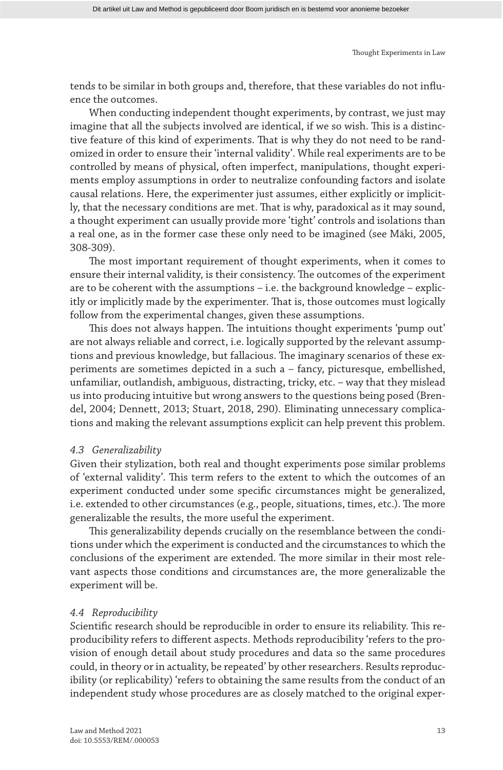tends to be similar in both groups and, therefore, that these variables do not influence the outcomes.

When conducting independent thought experiments, by contrast, we just may imagine that all the subjects involved are identical, if we so wish. This is a distinctive feature of this kind of experiments. That is why they do not need to be randomized in order to ensure their 'internal validity'. While real experiments are to be controlled by means of physical, often imperfect, manipulations, thought experiments employ assumptions in order to neutralize confounding factors and isolate causal relations. Here, the experimenter just assumes, either explicitly or implicitly, that the necessary conditions are met. That is why, paradoxical as it may sound, a thought experiment can usually provide more 'tight' controls and isolations than a real one, as in the former case these only need to be imagined (see Mäki, 2005, 308-309).

The most important requirement of thought experiments, when it comes to ensure their internal validity, is their consistency. The outcomes of the experiment are to be coherent with the assumptions – i.e. the background knowledge – explicitly or implicitly made by the experimenter. That is, those outcomes must logically follow from the experimental changes, given these assumptions.

This does not always happen. The intuitions thought experiments 'pump out' are not always reliable and correct, i.e. logically supported by the relevant assumptions and previous knowledge, but fallacious. The imaginary scenarios of these experiments are sometimes depicted in a such a – fancy, picturesque, embellished, unfamiliar, outlandish, ambiguous, distracting, tricky, etc. – way that they mislead us into producing intuitive but wrong answers to the questions being posed (Brendel, 2004; Dennett, 2013; Stuart, 2018, 290). Eliminating unnecessary complications and making the relevant assumptions explicit can help prevent this problem.

#### *4.3 Generalizability*

Given their stylization, both real and thought experiments pose similar problems of 'external validity'. This term refers to the extent to which the outcomes of an experiment conducted under some specific circumstances might be generalized, i.e. extended to other circumstances (e.g., people, situations, times, etc.). The more generalizable the results, the more useful the experiment.

This generalizability depends crucially on the resemblance between the conditions under which the experiment is conducted and the circumstances to which the conclusions of the experiment are extended. The more similar in their most relevant aspects those conditions and circumstances are, the more generalizable the experiment will be.

#### *4.4 Reproducibility*

Scientific research should be reproducible in order to ensure its reliability. This reproducibility refers to different aspects. Methods reproducibility 'refers to the provision of enough detail about study procedures and data so the same procedures could, in theory or in actuality, be repeated' by other researchers. Results reproducibility (or replicability) 'refers to obtaining the same results from the conduct of an independent study whose procedures are as closely matched to the original exper-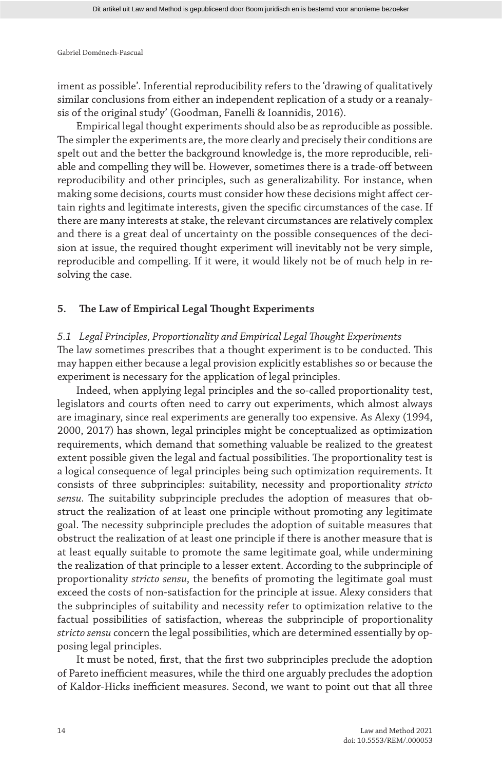iment as possible'. Inferential reproducibility refers to the 'drawing of qualitatively similar conclusions from either an independent replication of a study or a reanalysis of the original study' (Goodman, Fanelli & Ioannidis, 2016).

Empirical legal thought experiments should also be as reproducible as possible. The simpler the experiments are, the more clearly and precisely their conditions are spelt out and the better the background knowledge is, the more reproducible, reliable and compelling they will be. However, sometimes there is a trade-off between reproducibility and other principles, such as generalizability. For instance, when making some decisions, courts must consider how these decisions might affect certain rights and legitimate interests, given the specific circumstances of the case. If there are many interests at stake, the relevant circumstances are relatively complex and there is a great deal of uncertainty on the possible consequences of the decision at issue, the required thought experiment will inevitably not be very simple, reproducible and compelling. If it were, it would likely not be of much help in resolving the case.

#### **5. The Law of Empirical Legal Thought Experiments**

*5.1 Legal Principles, Proportionality and Empirical Legal Thought Experiments* The law sometimes prescribes that a thought experiment is to be conducted. This may happen either because a legal provision explicitly establishes so or because the experiment is necessary for the application of legal principles.

Indeed, when applying legal principles and the so-called proportionality test, legislators and courts often need to carry out experiments, which almost always are imaginary, since real experiments are generally too expensive. As Alexy (1994, 2000, 2017) has shown, legal principles might be conceptualized as optimization requirements, which demand that something valuable be realized to the greatest extent possible given the legal and factual possibilities. The proportionality test is a logical consequence of legal principles being such optimization requirements. It consists of three subprinciples: suitability, necessity and proportionality *stricto sensu*. The suitability subprinciple precludes the adoption of measures that obstruct the realization of at least one principle without promoting any legitimate goal. The necessity subprinciple precludes the adoption of suitable measures that obstruct the realization of at least one principle if there is another measure that is at least equally suitable to promote the same legitimate goal, while undermining the realization of that principle to a lesser extent. According to the subprinciple of proportionality *stricto sensu*, the benefits of promoting the legitimate goal must exceed the costs of non-satisfaction for the principle at issue. Alexy considers that the subprinciples of suitability and necessity refer to optimization relative to the factual possibilities of satisfaction, whereas the subprinciple of proportionality *stricto sensu* concern the legal possibilities, which are determined essentially by opposing legal principles.

It must be noted, first, that the first two subprinciples preclude the adoption of Pareto inefficient measures, while the third one arguably precludes the adoption of Kaldor-Hicks inefficient measures. Second, we want to point out that all three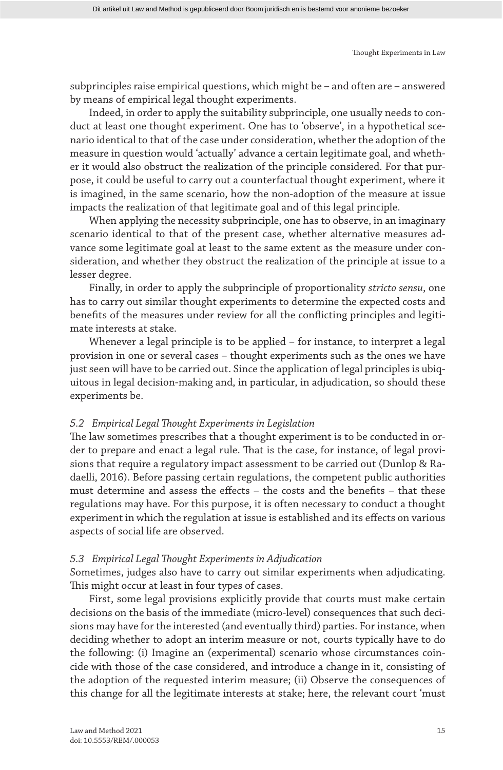subprinciples raise empirical questions, which might be – and often are – answered by means of empirical legal thought experiments.

Indeed, in order to apply the suitability subprinciple, one usually needs to conduct at least one thought experiment. One has to 'observe', in a hypothetical scenario identical to that of the case under consideration, whether the adoption of the measure in question would 'actually' advance a certain legitimate goal, and whether it would also obstruct the realization of the principle considered. For that purpose, it could be useful to carry out a counterfactual thought experiment, where it is imagined, in the same scenario, how the non-adoption of the measure at issue impacts the realization of that legitimate goal and of this legal principle.

When applying the necessity subprinciple, one has to observe, in an imaginary scenario identical to that of the present case, whether alternative measures advance some legitimate goal at least to the same extent as the measure under consideration, and whether they obstruct the realization of the principle at issue to a lesser degree.

Finally, in order to apply the subprinciple of proportionality *stricto sensu*, one has to carry out similar thought experiments to determine the expected costs and benefits of the measures under review for all the conflicting principles and legitimate interests at stake.

Whenever a legal principle is to be applied – for instance, to interpret a legal provision in one or several cases – thought experiments such as the ones we have just seen will have to be carried out. Since the application of legal principles is ubiquitous in legal decision-making and, in particular, in adjudication, so should these experiments be.

# *5.2 Empirical Legal Thought Experiments in Legislation*

The law sometimes prescribes that a thought experiment is to be conducted in order to prepare and enact a legal rule. That is the case, for instance, of legal provisions that require a regulatory impact assessment to be carried out (Dunlop & Radaelli, 2016). Before passing certain regulations, the competent public authorities must determine and assess the effects – the costs and the benefits – that these regulations may have. For this purpose, it is often necessary to conduct a thought experiment in which the regulation at issue is established and its effects on various aspects of social life are observed.

# *5.3 Empirical Legal Thought Experiments in Adjudication*

Sometimes, judges also have to carry out similar experiments when adjudicating. This might occur at least in four types of cases.

First, some legal provisions explicitly provide that courts must make certain decisions on the basis of the immediate (micro-level) consequences that such decisions may have for the interested (and eventually third) parties. For instance, when deciding whether to adopt an interim measure or not, courts typically have to do the following: (i) Imagine an (experimental) scenario whose circumstances coincide with those of the case considered, and introduce a change in it, consisting of the adoption of the requested interim measure; (ii) Observe the consequences of this change for all the legitimate interests at stake; here, the relevant court 'must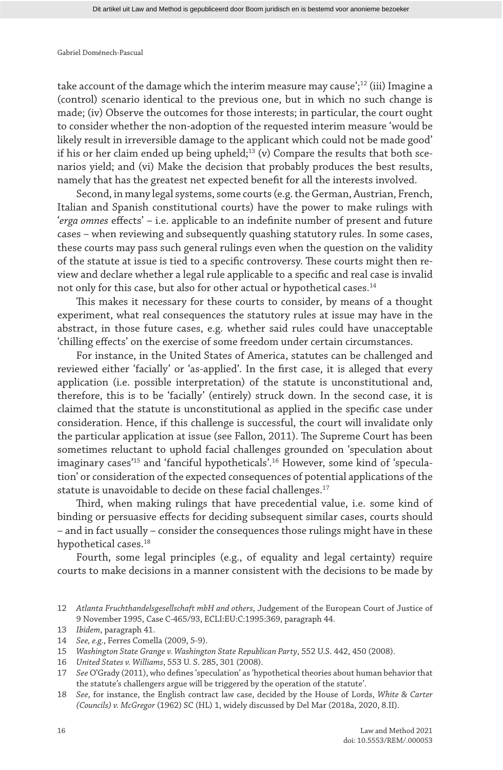take account of the damage which the interim measure may cause';<sup>12</sup> (iii) Imagine a (control) scenario identical to the previous one, but in which no such change is made; (iv) Observe the outcomes for those interests; in particular, the court ought to consider whether the non-adoption of the requested interim measure 'would be likely result in irreversible damage to the applicant which could not be made good' if his or her claim ended up being upheld;<sup>13</sup> (v) Compare the results that both scenarios yield; and (vi) Make the decision that probably produces the best results, namely that has the greatest net expected benefit for all the interests involved.

Second, in many legal systems, some courts (e.g. the German, Austrian, French, Italian and Spanish constitutional courts) have the power to make rulings with '*erga omnes* effects' – i.e. applicable to an indefinite number of present and future cases – when reviewing and subsequently quashing statutory rules. In some cases, these courts may pass such general rulings even when the question on the validity of the statute at issue is tied to a specific controversy. These courts might then review and declare whether a legal rule applicable to a specific and real case is invalid not only for this case, but also for other actual or hypothetical cases.<sup>14</sup>

This makes it necessary for these courts to consider, by means of a thought experiment, what real consequences the statutory rules at issue may have in the abstract, in those future cases, e.g. whether said rules could have unacceptable 'chilling effects' on the exercise of some freedom under certain circumstances.

For instance, in the United States of America, statutes can be challenged and reviewed either 'facially' or 'as-applied'. In the first case, it is alleged that every application (i.e. possible interpretation) of the statute is unconstitutional and, therefore, this is to be 'facially' (entirely) struck down. In the second case, it is claimed that the statute is unconstitutional as applied in the specific case under consideration. Hence, if this challenge is successful, the court will invalidate only the particular application at issue (see Fallon, 2011). The Supreme Court has been sometimes reluctant to uphold facial challenges grounded on 'speculation about imaginary cases'15 and 'fanciful hypotheticals'.16 However, some kind of 'speculation' or consideration of the expected consequences of potential applications of the statute is unavoidable to decide on these facial challenges.<sup>17</sup>

Third, when making rulings that have precedential value, i.e. some kind of binding or persuasive effects for deciding subsequent similar cases, courts should – and in fact usually – consider the consequences those rulings might have in these hypothetical cases.<sup>18</sup>

Fourth, some legal principles (e.g., of equality and legal certainty) require courts to make decisions in a manner consistent with the decisions to be made by

<sup>12</sup> *Atlanta Fruchthandelsgesellschaft mbH and others*, Judgement of the European Court of Justice of 9 November 1995, Case C-465/93, ECLI:EU:C:1995:369, paragraph 44.

<sup>13</sup> *Ibidem*, paragraph 41.

<sup>14</sup> *See, e.g.*, Ferres Comella (2009, 5-9).

<sup>15</sup> *Washington State Grange v. Washington State Republican Party*, 552 U.S. 442, 450 (2008).

<sup>16</sup> *United States v. Williams*, 553 U. S. 285, 301 (2008).

<sup>17</sup> *See* O'Grady (2011), who defines 'speculation' as 'hypothetical theories about human behavior that the statute's challengers argue will be triggered by the operation of the statute'.

<sup>18</sup> *See*, for instance, the English contract law case, decided by the House of Lords, *White & Carter (Councils) v. McGregor* (1962) SC (HL) 1, widely discussed by Del Mar (2018a, 2020, 8.II).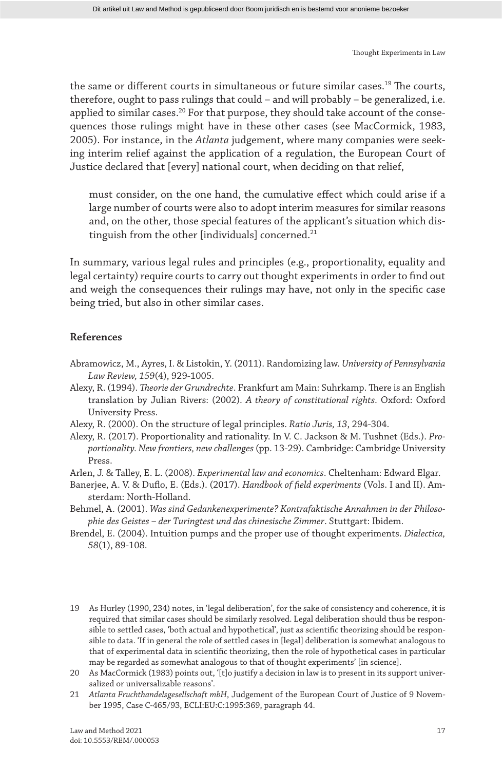the same or different courts in simultaneous or future similar cases.19 The courts, therefore, ought to pass rulings that could – and will probably – be generalized, i.e. applied to similar cases.<sup>20</sup> For that purpose, they should take account of the consequences those rulings might have in these other cases (see MacCormick, 1983, 2005). For instance, in the *Atlanta* judgement, where many companies were seeking interim relief against the application of a regulation, the European Court of Justice declared that [every] national court, when deciding on that relief,

must consider, on the one hand, the cumulative effect which could arise if a large number of courts were also to adopt interim measures for similar reasons and, on the other, those special features of the applicant's situation which distinguish from the other [individuals] concerned.<sup>21</sup>

In summary, various legal rules and principles (e.g., proportionality, equality and legal certainty) require courts to carry out thought experiments in order to find out and weigh the consequences their rulings may have, not only in the specific case being tried, but also in other similar cases.

## **References**

- Abramowicz, M., Ayres, I. & Listokin, Y. (2011). Randomizing law. *University of Pennsylvania Law Review, 159*(4), 929-1005.
- Alexy, R. (1994). *Theorie der Grundrechte*. Frankfurt am Main: Suhrkamp. There is an English translation by Julian Rivers: (2002). *A theory of constitutional rights*. Oxford: Oxford University Press.
- Alexy, R. (2000). On the structure of legal principles. *Ratio Juris, 13*, 294-304.
- Alexy, R. (2017). Proportionality and rationality. In V. C. Jackson & M. Tushnet (Eds.). *Proportionality. New frontiers, new challenges* (pp. 13-29). Cambridge: Cambridge University Press.
- Arlen, J. & Talley, E. L. (2008). *Experimental law and economics*. Cheltenham: Edward Elgar.
- Banerjee, A. V. & Duflo, E. (Eds.). (2017). *Handbook of field experiments* (Vols. I and II). Amsterdam: North-Holland.
- Behmel, A. (2001). *Was sind Gedankenexperimente? Kontrafaktische Annahmen in der Philosophie des Geistes – der Turingtest und das chinesische Zimmer*. Stuttgart: Ibidem.
- Brendel, E. (2004). Intuition pumps and the proper use of thought experiments. *Dialectica, 58*(1), 89-108.
- 19 As Hurley (1990, 234) notes, in 'legal deliberation', for the sake of consistency and coherence, it is required that similar cases should be similarly resolved. Legal deliberation should thus be responsible to settled cases, 'both actual and hypothetical', just as scientific theorizing should be responsible to data. 'If in general the role of settled cases in [legal] deliberation is somewhat analogous to that of experimental data in scientific theorizing, then the role of hypothetical cases in particular may be regarded as somewhat analogous to that of thought experiments' [in science].

<sup>20</sup> As MacCormick (1983) points out, '[t]o justify a decision in law is to present in its support universalized or universalizable reasons'.

<sup>21</sup> *Atlanta Fruchthandelsgesellschaft mbH*, Judgement of the European Court of Justice of 9 November 1995, Case C-465/93, ECLI:EU:C:1995:369, paragraph 44.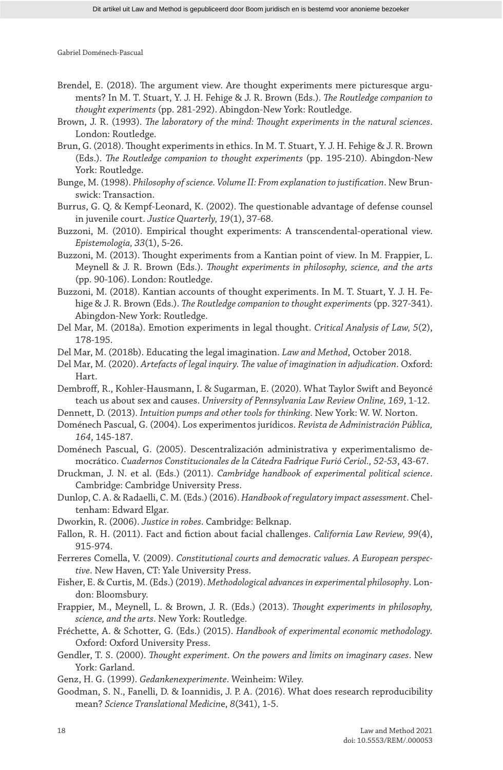- Brendel, E. (2018). The argument view. Are thought experiments mere picturesque arguments? In M. T. Stuart, Y. J. H. Fehige & J. R. Brown (Eds.). *The Routledge companion to thought experiments* (pp. 281-292). Abingdon-New York: Routledge.
- Brown, J. R. (1993). *The laboratory of the mind: Thought experiments in the natural sciences*. London: Routledge.
- Brun, G. (2018). Thought experiments in ethics. In M. T. Stuart, Y. J. H. Fehige & J. R. Brown (Eds.). *The Routledge companion to thought experiments* (pp. 195-210). Abingdon-New York: Routledge.
- Bunge, M. (1998). *Philosophy of science. Volume II: From explanation to justification*. New Brunswick: Transaction.
- Burrus, G. Q. & Kempf-Leonard, K. (2002). The questionable advantage of defense counsel in juvenile court. *Justice Quarterly, 19*(1), 37-68.
- Buzzoni, M. (2010). Empirical thought experiments: A transcendental-operational view. *Epistemologia, 33*(1), 5-26.
- Buzzoni, M. (2013). Thought experiments from a Kantian point of view. In M. Frappier, L. Meynell & J. R. Brown (Eds.). *Thought experiments in philosophy, science, and the arts* (pp. 90-106). London: Routledge.
- Buzzoni, M. (2018). Kantian accounts of thought experiments. In M. T. Stuart, Y. J. H. Fehige & J. R. Brown (Eds.). *The Routledge companion to thought experiments* (pp. 327-341). Abingdon-New York: Routledge.
- Del Mar, M. (2018a). Emotion experiments in legal thought. *Critical Analysis of Law, 5*(2), 178-195.
- Del Mar, M. (2018b). Educating the legal imagination. *Law and Method*, October 2018.
- Del Mar, M. (2020). *Artefacts of legal inquiry. The value of imagination in adjudication*. Oxford: Hart.
- Dembroff, R., Kohler-Hausmann, I. & Sugarman, E. (2020). What Taylor Swift and Beyoncé teach us about sex and causes. *University of Pennsylvania Law Review Online, 169*, 1-12.
- Dennett, D. (2013). *Intuition pumps and other tools for thinking*. New York: W. W. Norton.
- Doménech Pascual, G. (2004). Los experimentos jurídicos. *Revista de Administración Pública, 164*, 145-187.
- Doménech Pascual, G. (2005). Descentralización administrativa y experimentalismo democrático. *Cuadernos Constitucionales de la Cátedra Fadrique Furió Ceriol., 52-53*, 43-67.
- Druckman, J. N. et al. (Eds.) (2011). *Cambridge handbook of experimental political science*. Cambridge: Cambridge University Press.
- Dunlop, C. A. & Radaelli, C. M. (Eds.) (2016). *Handbook of regulatory impact assessment*. Cheltenham: Edward Elgar.
- Dworkin, R. (2006). *Justice in robes*. Cambridge: Belknap.
- Fallon, R. H. (2011). Fact and fiction about facial challenges. *California Law Review, 99*(4), 915-974.
- Ferreres Comella, V. (2009). *Constitutional courts and democratic values. A European perspective*. New Haven, CT: Yale University Press.
- Fisher, E. & Curtis, M. (Eds.) (2019). *Methodological advances in experimental philosophy*. London: Bloomsbury.
- Frappier, M., Meynell, L. & Brown, J. R. (Eds.) (2013). *Thought experiments in philosophy, science, and the arts*. New York: Routledge.
- Fréchette, A. & Schotter, G. (Eds.) (2015). *Handbook of experimental economic methodology.* Oxford: Oxford University Press.
- Gendler, T. S. (2000). *Thought experiment. On the powers and limits on imaginary cases*. New York: Garland.
- Genz, H. G. (1999). *Gedankenexperimente*. Weinheim: Wiley.
- Goodman, S. N., Fanelli, D. & Ioannidis, J. P. A. (2016). What does research reproducibility mean? *Science Translational Medicin*e, *8*(341), 1-5.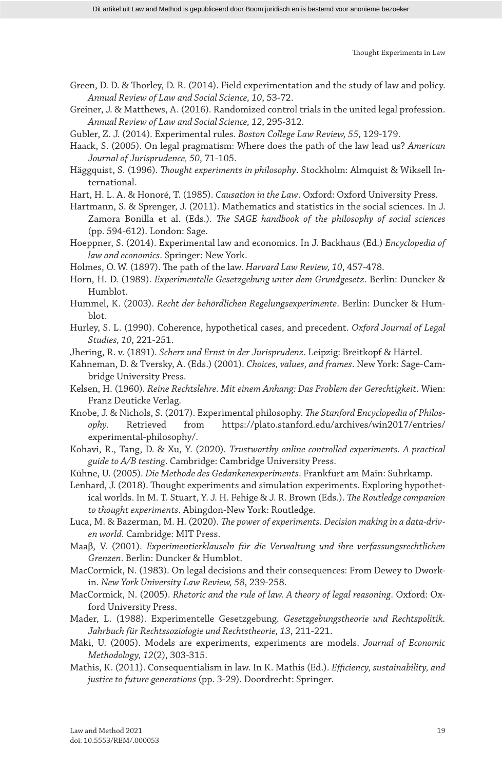- Green, D. D. & Thorley, D. R. (2014). Field experimentation and the study of law and policy. *Annual Review of Law and Social Science, 10*, 53-72.
- Greiner, J. & Matthews, A. (2016). Randomized control trials in the united legal profession. *Annual Review of Law and Social Science, 12*, 295-312.
- Gubler, Z. J. (2014). Experimental rules. *Boston College Law Review, 55*, 129-179.
- Haack, S. (2005). On legal pragmatism: Where does the path of the law lead us? *American Journal of Jurisprudence, 50*, 71-105.
- Häggquist, S. (1996). *Thought experiments in philosophy*. Stockholm: Almquist & Wiksell International.
- Hart, H. L. A. & Honoré, T. (1985). *Causation in the Law*. Oxford: Oxford University Press.
- Hartmann, S. & Sprenger, J. (2011). Mathematics and statistics in the social sciences. In J. Zamora Bonilla et al. (Eds.). *The SAGE handbook of the philosophy of social sciences* (pp. 594-612). London: Sage.
- Hoeppner, S. (2014). Experimental law and economics. In J. Backhaus (Ed.) *Encyclopedia of law and economics*. Springer: New York.
- Holmes, O. W. (1897). The path of the law. *Harvard Law Review, 10*, 457-478.
- Horn, H. D. (1989). *Experimentelle Gesetzgebung unter dem Grundgesetz*. Berlin: Duncker & Humblot.
- Hummel, K. (2003). *Recht der behördlichen Regelungsexperimente*. Berlin: Duncker & Humblot.
- Hurley, S. L. (1990). Coherence, hypothetical cases, and precedent. *Oxford Journal of Legal Studies, 10*, 221-251.
- Jhering, R. v. (1891). *Scherz und Ernst in der Jurisprudenz*. Leipzig: Breitkopf & Härtel.
- Kahneman, D. & Tversky, A. (Eds.) (2001). *Choices, values, and frames*. New York: Sage-Cambridge University Press.
- Kelsen, H. (1960). *Reine Rechtslehre. Mit einem Anhang: Das Problem der Gerechtigkeit*. Wien: Franz Deuticke Verlag.
- Knobe, J. & Nichols, S. (2017). Experimental philosophy. *The Stanford Encyclopedia of Philosophy.* Retrieved from https://plato.stanford.edu/archives/win2017/entries/ experimental-philosophy/.
- Kohavi, R., Tang, D. & Xu, Y. (2020). *Trustworthy online controlled experiments. A practical guide to A/B testing*. Cambridge: Cambridge University Press.
- Kühne, U. (2005). *Die Methode des Gedankenexperiments*. Frankfurt am Main: Suhrkamp.
- Lenhard, J. (2018). Thought experiments and simulation experiments. Exploring hypothetical worlds. In M. T. Stuart, Y. J. H. Fehige & J. R. Brown (Eds.). *The Routledge companion to thought experiments*. Abingdon-New York: Routledge.
- Luca, M. & Bazerman, M. H. (2020). *The power of experiments. Decision making in a data-driven world*. Cambridge: MIT Press.
- Maaβ, V. (2001). *Experimentierklauseln für die Verwaltung und ihre verfassungsrechtlichen Grenzen*. Berlin: Duncker & Humblot.
- MacCormick, N. (1983). On legal decisions and their consequences: From Dewey to Dworkin. *New York University Law Review, 58*, 239-258.
- MacCormick, N. (2005). *Rhetoric and the rule of law. A theory of legal reasoning*. Oxford: Oxford University Press.
- Mader, L. (1988). Experimentelle Gesetzgebung. *Gesetzgebungstheorie und Rechtspolitik. Jahrbuch für Rechtssoziologie und Rechtstheorie, 13*, 211-221.
- Mäki, U. (2005). Models are experiments, experiments are models. *Journal of Economic Methodology, 12*(2), 303-315.
- Mathis, K. (2011). Consequentialism in law. In K. Mathis (Ed.). *Efficiency, sustainability, and justice to future generations* (pp. 3-29). Doordrecht: Springer.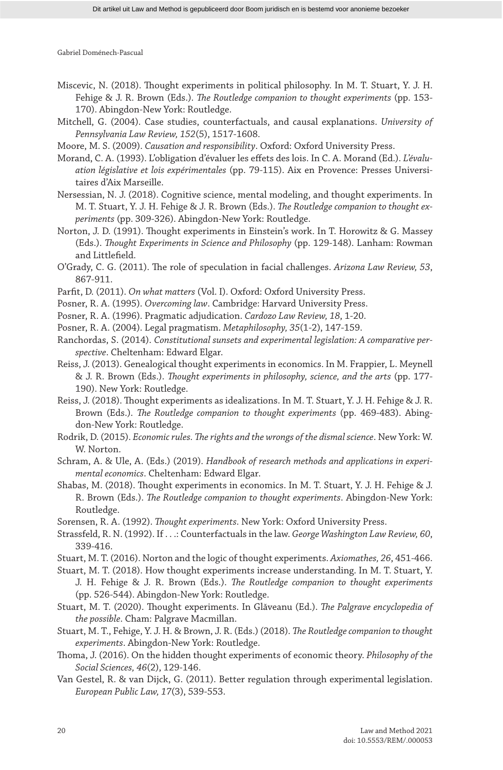- Miscevic, N. (2018). Thought experiments in political philosophy. In M. T. Stuart, Y. J. H. Fehige & J. R. Brown (Eds.). *The Routledge companion to thought experiments* (pp. 153- 170). Abingdon-New York: Routledge.
- Mitchell, G. (2004). Case studies, counterfactuals, and causal explanations. *University of Pennsylvania Law Review, 152*(5), 1517-1608.
- Moore, M. S. (2009). *Causation and responsibility*. Oxford: Oxford University Press.
- Morand, C. A. (1993). L'obligation d'évaluer les effets des lois. In C. A. Morand (Ed.). *L'évaluation législative et lois expérimentales* (pp. 79-115). Aix en Provence: Presses Universitaires d'Aix Marseille.
- Nersessian, N. J. (2018). Cognitive science, mental modeling, and thought experiments. In M. T. Stuart, Y. J. H. Fehige & J. R. Brown (Eds.). *The Routledge companion to thought experiments* (pp. 309-326). Abingdon-New York: Routledge.
- Norton, J. D. (1991). Thought experiments in Einstein's work. In T. Horowitz & G. Massey (Eds.). *Thought Experiments in Science and Philosophy* (pp. 129-148). Lanham: Rowman and Littlefield.
- O'Grady, C. G. (2011). The role of speculation in facial challenges. *Arizona Law Review, 53*, 867-911.
- Parfit, D. (2011). *On what matters* (Vol. I). Oxford: Oxford University Press.
- Posner, R. A. (1995). *Overcoming law*. Cambridge: Harvard University Press.
- Posner, R. A. (1996). Pragmatic adjudication. *Cardozo Law Review, 18*, 1-20.
- Posner, R. A. (2004). Legal pragmatism. *Metaphilosophy, 35*(1-2), 147-159.
- Ranchordas, S. (2014). *Constitutional sunsets and experimental legislation: A comparative perspective*. Cheltenham: Edward Elgar.
- Reiss, J. (2013). Genealogical thought experiments in economics. In M. Frappier, L. Meynell & J. R. Brown (Eds.). *Thought experiments in philosophy, science, and the arts* (pp. 177- 190). New York: Routledge.
- Reiss, J. (2018). Thought experiments as idealizations. In M. T. Stuart, Y. J. H. Fehige & J. R. Brown (Eds.). *The Routledge companion to thought experiments* (pp. 469-483). Abingdon-New York: Routledge.
- Rodrik, D. (2015). *Economic rules. The rights and the wrongs of the dismal science*. New York: W. W. Norton.
- Schram, A. & Ule, A. (Eds.) (2019). *Handbook of research methods and applications in experimental economics*. Cheltenham: Edward Elgar.
- Shabas, M. (2018). Thought experiments in economics. In M. T. Stuart, Y. J. H. Fehige & J. R. Brown (Eds.). *The Routledge companion to thought experiments*. Abingdon-New York: Routledge.
- Sorensen, R. A. (1992). *Thought experiments*. New York: Oxford University Press.
- Strassfeld, R. N. (1992). If . . .: Counterfactuals in the law. *George Washington Law Review, 60*, 339-416.
- Stuart, M. T. (2016). Norton and the logic of thought experiments. *Axiomathes, 26*, 451-466.
- Stuart, M. T. (2018). How thought experiments increase understanding. In M. T. Stuart, Y. J. H. Fehige & J. R. Brown (Eds.). *The Routledge companion to thought experiments* (pp. 526-544). Abingdon-New York: Routledge.
- Stuart, M. T. (2020). Thought experiments. In Glăveanu (Ed.). *The Palgrave encyclopedia of the possible*. Cham: Palgrave Macmillan.
- Stuart, M. T., Fehige, Y. J. H. & Brown, J. R. (Eds.) (2018). *The Routledge companion to thought experiments*. Abingdon-New York: Routledge.
- Thoma, J. (2016). On the hidden thought experiments of economic theory. *Philosophy of the Social Sciences, 46*(2), 129-146.
- Van Gestel, R. & van Dijck, G. (2011). Better regulation through experimental legislation. *European Public Law, 17*(3), 539-553.